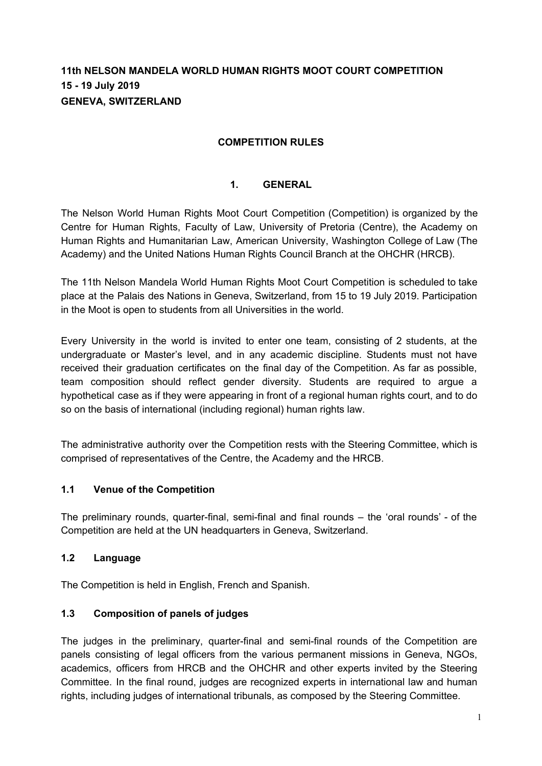# **11th NELSON MANDELA WORLD HUMAN RIGHTS MOOT COURT COMPETITION 15 - 19 July 2019 GENEVA, SWITZERLAND**

### **COMPETITION RULES**

# **1. GENERAL**

The Nelson World Human Rights Moot Court Competition (Competition) is organized by the Centre for Human Rights, Faculty of Law, University of Pretoria (Centre), the Academy on Human Rights and Humanitarian Law, American University, Washington College of Law (The Academy) and the United Nations Human Rights Council Branch at the OHCHR (HRCB).

The 11th Nelson Mandela World Human Rights Moot Court Competition is scheduled to take place at the Palais des Nations in Geneva, Switzerland, from 15 to 19 July 2019. Participation in the Moot is open to students from all Universities in the world.

Every University in the world is invited to enter one team, consisting of 2 students, at the undergraduate or Master's level, and in any academic discipline. Students must not have received their graduation certificates on the final day of the Competition. As far as possible, team composition should reflect gender diversity. Students are required to argue a hypothetical case as if they were appearing in front of a regional human rights court, and to do so on the basis of international (including regional) human rights law.

The administrative authority over the Competition rests with the Steering Committee, which is comprised of representatives of the Centre, the Academy and the HRCB.

### **1.1 Venue of the Competition**

The preliminary rounds, quarter-final, semi-final and final rounds – the 'oral rounds' - of the Competition are held at the UN headquarters in Geneva, Switzerland.

#### **1.2 Language**

The Competition is held in English, French and Spanish.

### **1.3 Composition of panels of judges**

The judges in the preliminary, quarter-final and semi-final rounds of the Competition are panels consisting of legal officers from the various permanent missions in Geneva, NGOs, academics, officers from HRCB and the OHCHR and other experts invited by the Steering Committee. In the final round, judges are recognized experts in international law and human rights, including judges of international tribunals, as composed by the Steering Committee.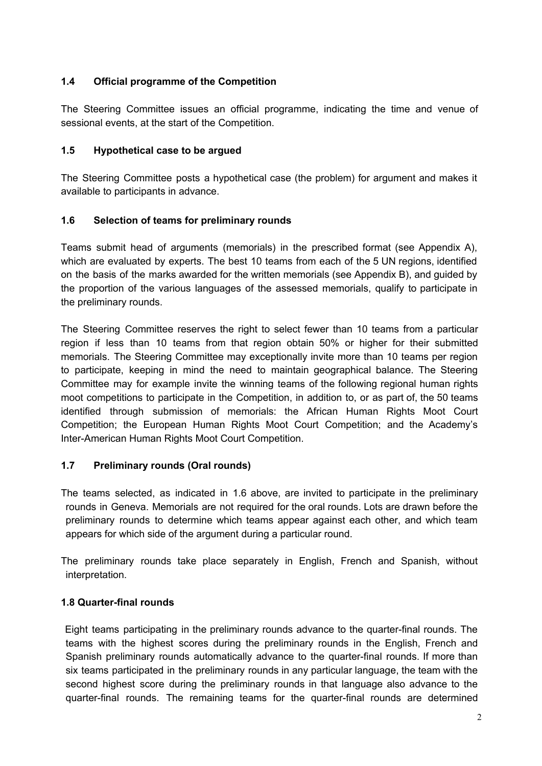# **1.4 Official programme of the Competition**

The Steering Committee issues an official programme, indicating the time and venue of sessional events, at the start of the Competition.

## **1.5 Hypothetical case to be argued**

The Steering Committee posts a hypothetical case (the problem) for argument and makes it available to participants in advance.

# **1.6 Selection of teams for preliminary rounds**

Teams submit head of arguments (memorials) in the prescribed format (see Appendix A), which are evaluated by experts. The best 10 teams from each of the 5 UN regions, identified on the basis of the marks awarded for the written memorials (see Appendix B), and guided by the proportion of the various languages of the assessed memorials, qualify to participate in the preliminary rounds.

The Steering Committee reserves the right to select fewer than 10 teams from a particular region if less than 10 teams from that region obtain 50% or higher for their submitted memorials. The Steering Committee may exceptionally invite more than 10 teams per region to participate, keeping in mind the need to maintain geographical balance. The Steering Committee may for example invite the winning teams of the following regional human rights moot competitions to participate in the Competition, in addition to, or as part of, the 50 teams identified through submission of memorials: the African Human Rights Moot Court Competition; the European Human Rights Moot Court Competition; and the Academy's Inter-American Human Rights Moot Court Competition.

### **1.7 Preliminary rounds (Oral rounds)**

The teams selected, as indicated in 1.6 above, are invited to participate in the preliminary rounds in Geneva. Memorials are not required for the oral rounds. Lots are drawn before the preliminary rounds to determine which teams appear against each other, and which team appears for which side of the argument during a particular round.

The preliminary rounds take place separately in English, French and Spanish, without interpretation.

# **1.8 Quarter-final rounds**

Eight teams participating in the preliminary rounds advance to the quarter-final rounds. The teams with the highest scores during the preliminary rounds in the English, French and Spanish preliminary rounds automatically advance to the quarter-final rounds. If more than six teams participated in the preliminary rounds in any particular language, the team with the second highest score during the preliminary rounds in that language also advance to the quarter-final rounds. The remaining teams for the quarter-final rounds are determined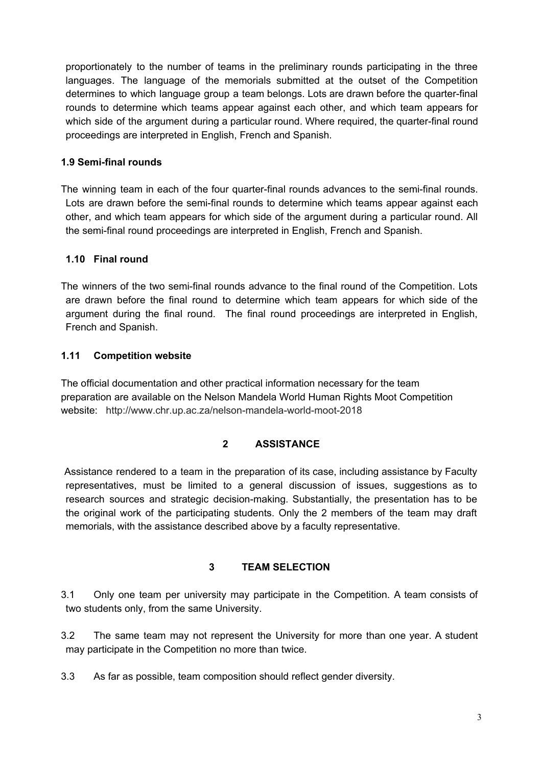proportionately to the number of teams in the preliminary rounds participating in the three languages. The language of the memorials submitted at the outset of the Competition determines to which language group a team belongs. Lots are drawn before the quarter-final rounds to determine which teams appear against each other, and which team appears for which side of the argument during a particular round. Where required, the quarter-final round proceedings are interpreted in English, French and Spanish.

## **1.9 Semi-final rounds**

The winning team in each of the four quarter-final rounds advances to the semi-final rounds. Lots are drawn before the semi-final rounds to determine which teams appear against each other, and which team appears for which side of the argument during a particular round. All the semi-final round proceedings are interpreted in English, French and Spanish.

# **1.10 Final round**

The winners of the two semi-final rounds advance to the final round of the Competition. Lots are drawn before the final round to determine which team appears for which side of the argument during the final round. The final round proceedings are interpreted in English, French and Spanish.

### **1.11 Competition website**

The official documentation and other practical information necessary for the team preparation are available on the Nelson Mandela World Human Rights Moot Competition website: http://www.chr.up.ac.za/nelson-mandela-world-moot-2018

# **2 ASSISTANCE**

Assistance rendered to a team in the preparation of its case, including assistance by Faculty representatives, must be limited to a general discussion of issues, suggestions as to research sources and strategic decision-making. Substantially, the presentation has to be the original work of the participating students. Only the 2 members of the team may draft memorials, with the assistance described above by a faculty representative.

### **3 TEAM SELECTION**

3.1 Only one team per university may participate in the Competition. A team consists of two students only, from the same University.

3.2 The same team may not represent the University for more than one year. A student may participate in the Competition no more than twice.

3.3 As far as possible, team composition should reflect gender diversity.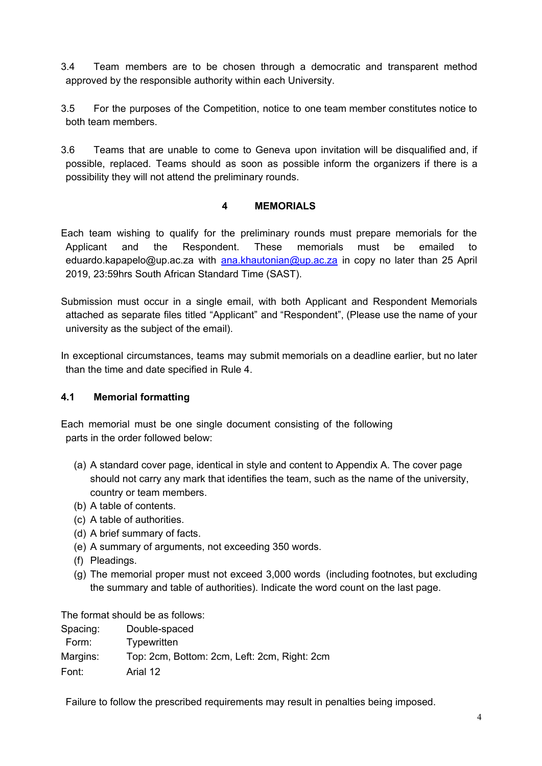- 3.4 Team members are to be chosen through a democratic and transparent method approved by the responsible authority within each University.
- 3.5 For the purposes of the Competition, notice to one team member constitutes notice to both team members.
- 3.6 Teams that are unable to come to Geneva upon invitation will be disqualified and, if possible, replaced. Teams should as soon as possible inform the organizers if there is a possibility they will not attend the preliminary rounds.

### **4 MEMORIALS**

Each team wishing to qualify for the preliminary rounds must prepare memorials for the Applicant and the Respondent. These memorials must be emailed to eduardo[.kapapelo@up.ac.za](mailto:kapapelo@up.ac.za) with [ana.khautonian@up.ac.za](mailto:ana.khautonian@up.ac.za) in copy no later than 25 April 2019, 23:59hrs South African Standard Time (SAST).

Submission must occur in a single email, with both Applicant and Respondent Memorials attached as separate files titled "Applicant" and "Respondent", (Please use the name of your university as the subject of the email).

In exceptional circumstances, teams may submit memorials on a deadline earlier, but no later than the time and date specified in Rule 4.

### **4.1 Memorial formatting**

Each memorial must be one single document consisting of the following parts in the order followed below:

- (a) A standard cover page, identical in style and content to Appendix A. The cover page should not carry any mark that identifies the team, such as the name of the university, country or team members.
- (b) A table of contents.
- (c) A table of authorities.
- (d) A brief summary of facts.
- (e) A summary of arguments, not exceeding 350 words.
- (f) Pleadings.
- (g) The memorial proper must not exceed 3,000 words (including footnotes, but excluding the summary and table of authorities). Indicate the word count on the last page.

The format should be as follows:

| Spacing: | Double-spaced                                |
|----------|----------------------------------------------|
| Form:    | Typewritten                                  |
| Margins: | Top: 2cm, Bottom: 2cm, Left: 2cm, Right: 2cm |
| Font:    | Arial 12                                     |

Failure to follow the prescribed requirements may result in penalties being imposed.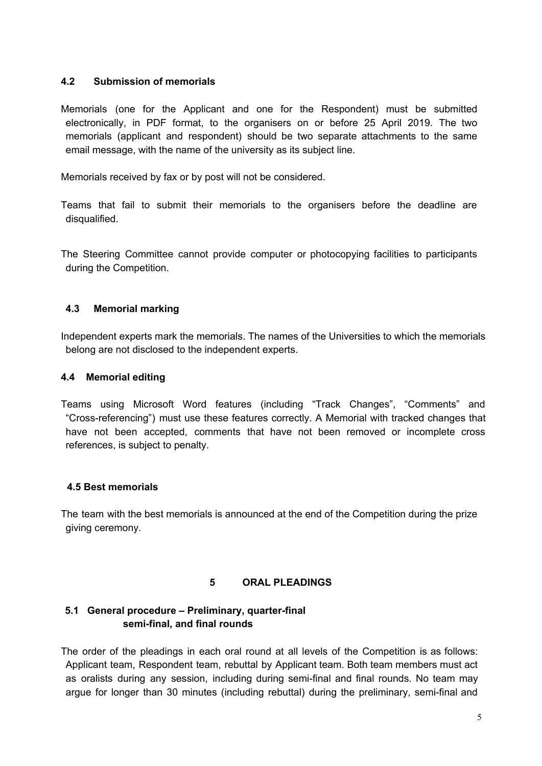### **4.2 Submission of memorials**

Memorials (one for the Applicant and one for the Respondent) must be submitted electronically, in PDF format, to the organisers on or before 25 April 2019. The two memorials (applicant and respondent) should be two separate attachments to the same email message, with the name of the university as its subject line.

Memorials received by fax or by post will not be considered.

Teams that fail to submit their memorials to the organisers before the deadline are disqualified.

The Steering Committee cannot provide computer or photocopying facilities to participants during the Competition.

### **4.3 Memorial marking**

Independent experts mark the memorials. The names of the Universities to which the memorials belong are not disclosed to the independent experts.

### **4.4 Memorial editing**

Teams using Microsoft Word features (including "Track Changes", "Comments" and "Cross-referencing") must use these features correctly. A Memorial with tracked changes that have not been accepted, comments that have not been removed or incomplete cross references, is subject to penalty.

#### **4.5 Best memorials**

The team with the best memorials is announced at the end of the Competition during the prize giving ceremony.

#### **5 ORAL PLEADINGS**

### **5.1 General procedure – Preliminary, quarter-final semi-final, and final rounds**

The order of the pleadings in each oral round at all levels of the Competition is as follows: Applicant team, Respondent team, rebuttal by Applicant team. Both team members must act as oralists during any session, including during semi-final and final rounds. No team may argue for longer than 30 minutes (including rebuttal) during the preliminary, semi-final and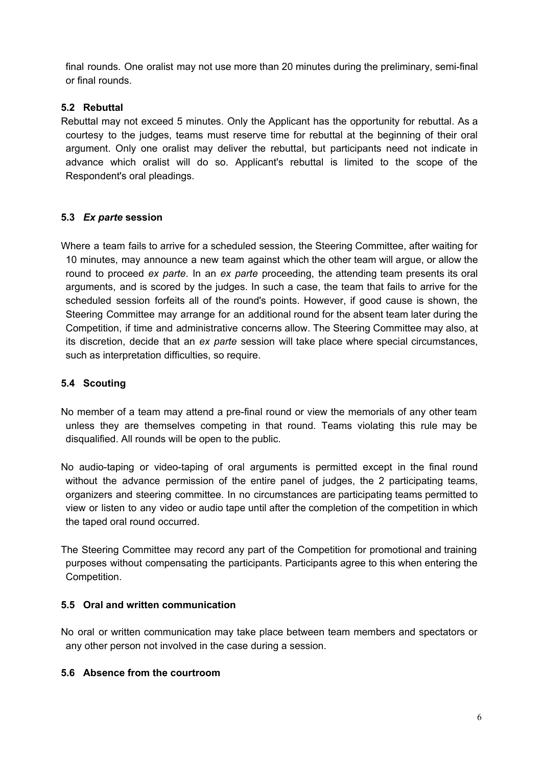final rounds. One oralist may not use more than 20 minutes during the preliminary, semi-final or final rounds.

### **5.2 Rebuttal**

Rebuttal may not exceed 5 minutes. Only the Applicant has the opportunity for rebuttal. As a courtesy to the judges, teams must reserve time for rebuttal at the beginning of their oral argument. Only one oralist may deliver the rebuttal, but participants need not indicate in advance which oralist will do so. Applicant's rebuttal is limited to the scope of the Respondent's oral pleadings.

# **5.3** *Ex parte* **session**

Where a team fails to arrive for a scheduled session, the Steering Committee, after waiting for 10 minutes, may announce a new team against which the other team will argue, or allow the round to proceed *ex parte*. In an *ex parte* proceeding, the attending team presents its oral arguments, and is scored by the judges. In such a case, the team that fails to arrive for the scheduled session forfeits all of the round's points. However, if good cause is shown, the Steering Committee may arrange for an additional round for the absent team later during the Competition, if time and administrative concerns allow. The Steering Committee may also, at its discretion, decide that an *ex parte* session will take place where special circumstances, such as interpretation difficulties, so require.

# **5.4 Scouting**

No member of a team may attend a pre-final round or view the memorials of any other team unless they are themselves competing in that round. Teams violating this rule may be disqualified. All rounds will be open to the public.

No audio-taping or video-taping of oral arguments is permitted except in the final round without the advance permission of the entire panel of judges, the 2 participating teams, organizers and steering committee. In no circumstances are participating teams permitted to view or listen to any video or audio tape until after the completion of the competition in which the taped oral round occurred.

The Steering Committee may record any part of the Competition for promotional and training purposes without compensating the participants. Participants agree to this when entering the Competition.

### **5.5 Oral and written communication**

No oral or written communication may take place between team members and spectators or any other person not involved in the case during a session.

#### **5.6 Absence from the courtroom**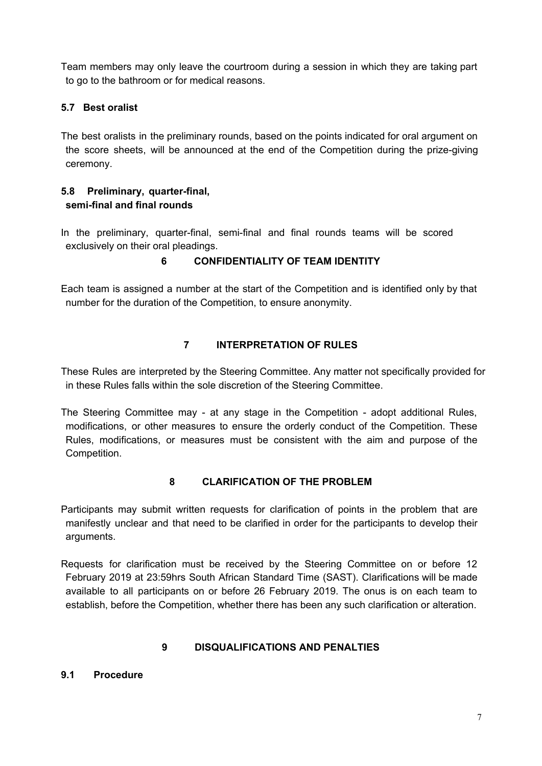Team members may only leave the courtroom during a session in which they are taking part to go to the bathroom or for medical reasons.

## **5.7 Best oralist**

The best oralists in the preliminary rounds, based on the points indicated for oral argument on the score sheets, will be announced at the end of the Competition during the prize-giving ceremony.

### **5.8 Preliminary, quarter-final, semi-final and final rounds**

In the preliminary, quarter-final, semi-final and final rounds teams will be scored exclusively on their oral pleadings.

# **6 CONFIDENTIALITY OF TEAM IDENTITY**

Each team is assigned a number at the start of the Competition and is identified only by that number for the duration of the Competition, to ensure anonymity.

# **7 INTERPRETATION OF RULES**

These Rules are interpreted by the Steering Committee. Any matter not specifically provided for in these Rules falls within the sole discretion of the Steering Committee.

The Steering Committee may - at any stage in the Competition - adopt additional Rules, modifications, or other measures to ensure the orderly conduct of the Competition. These Rules, modifications, or measures must be consistent with the aim and purpose of the Competition.

## **8 CLARIFICATION OF THE PROBLEM**

Participants may submit written requests for clarification of points in the problem that are manifestly unclear and that need to be clarified in order for the participants to develop their arguments.

Requests for clarification must be received by the Steering Committee on or before 12 February 2019 at 23:59hrs South African Standard Time (SAST). Clarifications will be made available to all participants on or before 26 February 2019. The onus is on each team to establish, before the Competition, whether there has been any such clarification or alteration.

#### **9 DISQUALIFICATIONS AND PENALTIES**

#### **9.1 Procedure**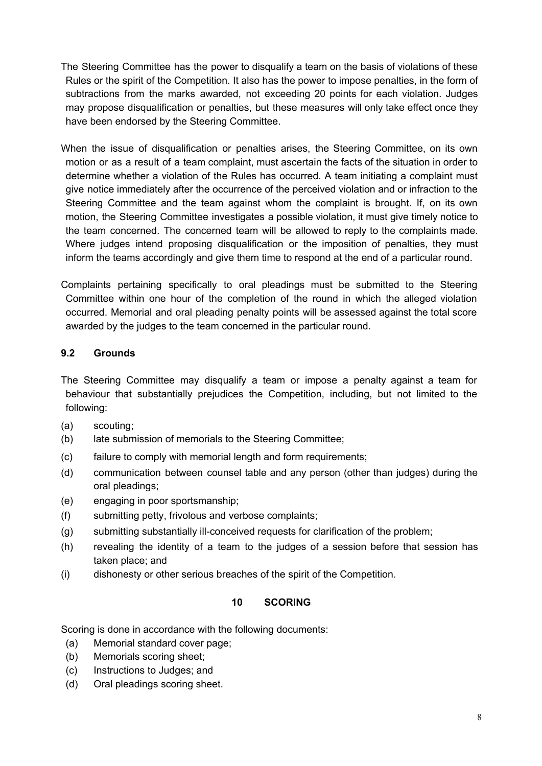- The Steering Committee has the power to disqualify a team on the basis of violations of these Rules or the spirit of the Competition. It also has the power to impose penalties, in the form of subtractions from the marks awarded, not exceeding 20 points for each violation. Judges may propose disqualification or penalties, but these measures will only take effect once they have been endorsed by the Steering Committee.
- When the issue of disqualification or penalties arises, the Steering Committee, on its own motion or as a result of a team complaint, must ascertain the facts of the situation in order to determine whether a violation of the Rules has occurred. A team initiating a complaint must give notice immediately after the occurrence of the perceived violation and or infraction to the Steering Committee and the team against whom the complaint is brought. If, on its own motion, the Steering Committee investigates a possible violation, it must give timely notice to the team concerned. The concerned team will be allowed to reply to the complaints made. Where judges intend proposing disqualification or the imposition of penalties, they must inform the teams accordingly and give them time to respond at the end of a particular round.

Complaints pertaining specifically to oral pleadings must be submitted to the Steering Committee within one hour of the completion of the round in which the alleged violation occurred. Memorial and oral pleading penalty points will be assessed against the total score awarded by the judges to the team concerned in the particular round.

# **9.2 Grounds**

The Steering Committee may disqualify a team or impose a penalty against a team for behaviour that substantially prejudices the Competition, including, but not limited to the following:

- (a) scouting;
- (b) late submission of memorials to the Steering Committee;
- (c) failure to comply with memorial length and form requirements;
- (d) communication between counsel table and any person (other than judges) during the oral pleadings;
- (e) engaging in poor sportsmanship;
- (f) submitting petty, frivolous and verbose complaints;
- (g) submitting substantially ill-conceived requests for clarification of the problem;
- (h) revealing the identity of a team to the judges of a session before that session has taken place; and
- (i) dishonesty or other serious breaches of the spirit of the Competition.

### **10 SCORING**

Scoring is done in accordance with the following documents:

- (a) Memorial standard cover page;
- (b) Memorials scoring sheet;
- (c) Instructions to Judges; and
- (d) Oral pleadings scoring sheet.